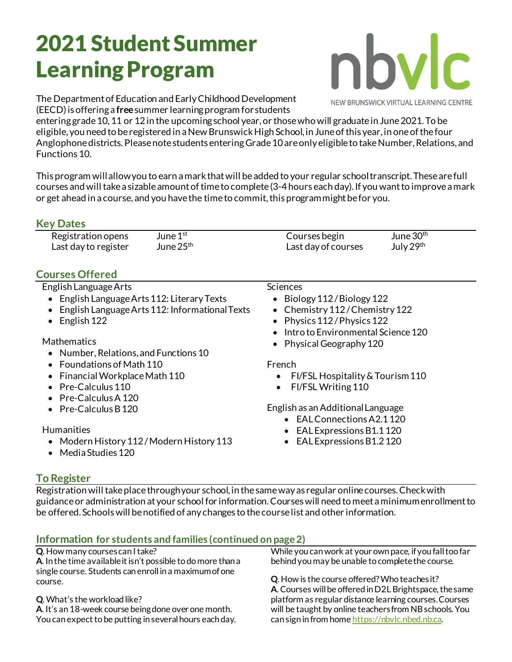# 2021 Student Summer Learning Program



The Department of Education and Early Childhood Development (EECD) is offering a **free**summer learningprogram for students

entering grade 10, 11 or 12 in the upcoming school year, or those who will graduate in June 2021. To be eligible, you need to be registered in a New Brunswick High School, in June of this year, in one of the four Anglophone districts.Please note students entering Grade 10 are only eligible to take Number, Relations, and Functions10.

This program will allow you to earn a mark that will be added to your regular school transcript. These are full courses and will take a sizable amount of time to complete (3-4 hours each day). If you want to improve a mark or get ahead in a course, and you have the time to commit, this program might be for you.

#### **Key Dates**

Registration opens June  $1<sup>st</sup>$ Last day to register June  $25<sup>th</sup>$ 

## **Courses Offered**

#### English Language Arts

- English Language Arts 112: Literary Texts
- English Language Arts 112: Informational Texts
- English 122

#### **Mathematics**

- Number, Relations, and Functions 10
- Foundations of Math 110
- Financial Workplace Math 110
- Pre-Calculus 110
- Pre-CalculusA 120
- Pre-Calculus B 120

#### **Humanities**

- Modern History 112 / Modern History 113
- Media Studies 120

### Sciences

- Biology 112 / Biology 122
- Chemistry 112/Chemistry 122
- Physics 112 / Physics 122
- Intro to Environmental Science 120

Courses begin June 30<sup>th</sup> Last day of courses July 29<sup>th</sup>

• Physical Geography 120

#### French

- FI/FSL Hospitality & Tourism 110
- FI/FSL Writing 110

English as an Additional Language

- EAL Connections A2.1 120
- EAL Expressions B1.1 120
- EAL Expressions B1.2 120

#### **To Register**

Registration will take place through your school, in the same way as regular online courses. Check with guidance or administration at your school for information.Courses will need to meet a minimum enrollment to be offered. Schools will be notified of any changes to the course list and other information.

#### **Information for students and families (continued on page 2)**

#### **Q**. How many courses can I take?

**A**. In the time available it isn't possible to do more than a single course. Students can enroll in a maximum of one course.

#### **Q**. What's the workload like?

**A**. It's an 18-week course being done over one month. You can expect to be putting in several hours each day. While you can work at your own pace, if you fall too far behind you may be unable to complete the course.

**Q**. How is the course offered?Who teaches it? **A**. Courses will be offered in D2L Brightspace, the same platform as regular distance learning courses.Courses will be taught by online teachers from NB schools. You can sign in from home [https://nbvlc.nbed.nb.ca](https://nbvlc.nbed.nb.ca/).